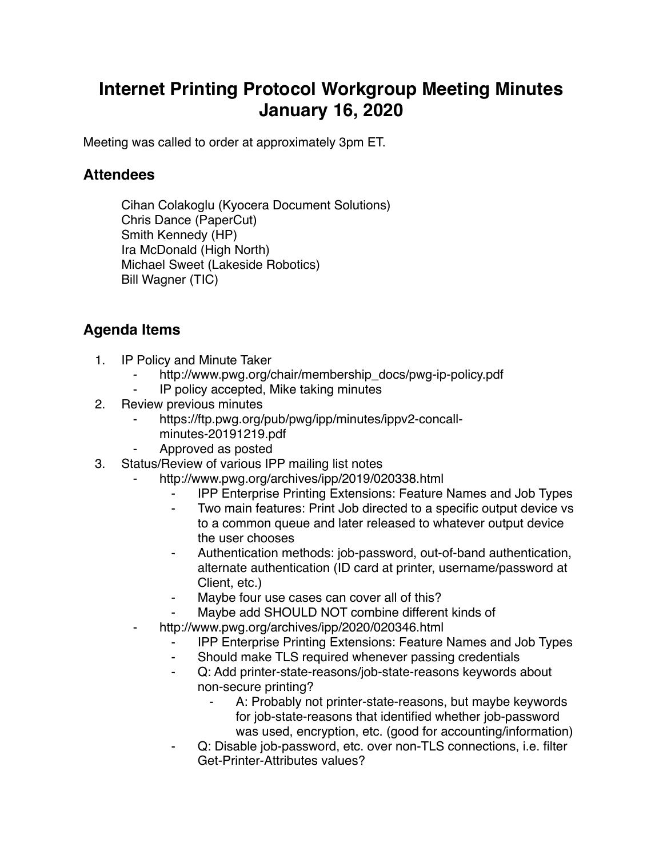## **Internet Printing Protocol Workgroup Meeting Minutes January 16, 2020**

Meeting was called to order at approximately 3pm ET.

## **Attendees**

Cihan Colakoglu (Kyocera Document Solutions) Chris Dance (PaperCut) Smith Kennedy (HP) Ira McDonald (High North) Michael Sweet (Lakeside Robotics) Bill Wagner (TIC)

## **Agenda Items**

- 1. IP Policy and Minute Taker
	- http://www.pwg.org/chair/membership\_docs/pwg-ip-policy.pdf
	- ⁃ IP policy accepted, Mike taking minutes
- 2. Review previous minutes
	- https://ftp.pwg.org/pub/pwg/ipp/minutes/ippv2-concallminutes-20191219.pdf
	- ⁃ Approved as posted
- 3. Status/Review of various IPP mailing list notes
	- http://www.pwg.org/archives/ipp/2019/020338.html
		- ⁃ IPP Enterprise Printing Extensions: Feature Names and Job Types
		- ⁃ Two main features: Print Job directed to a specific output device vs to a common queue and later released to whatever output device the user chooses
		- Authentication methods: job-password, out-of-band authentication, alternate authentication (ID card at printer, username/password at Client, etc.)
		- Maybe four use cases can cover all of this?
		- Maybe add SHOULD NOT combine different kinds of
	- http://www.pwg.org/archives/ipp/2020/020346.html
		- ⁃ IPP Enterprise Printing Extensions: Feature Names and Job Types
		- Should make TLS required whenever passing credentials
		- ⁃ Q: Add printer-state-reasons/job-state-reasons keywords about non-secure printing?
			- A: Probably not printer-state-reasons, but maybe keywords for job-state-reasons that identified whether job-password was used, encryption, etc. (good for accounting/information)
		- Q: Disable job-password, etc. over non-TLS connections, i.e. filter Get-Printer-Attributes values?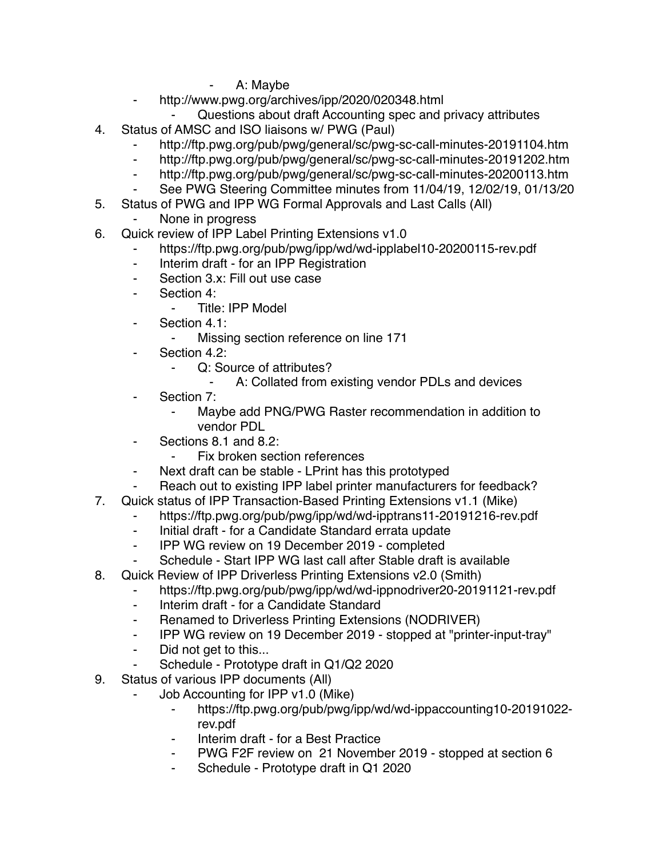- A: Maybe
- http://www.pwg.org/archives/ipp/2020/020348.html
	- Questions about draft Accounting spec and privacy attributes
- 4. Status of AMSC and ISO liaisons w/ PWG (Paul)
	- http://ftp.pwg.org/pub/pwg/general/sc/pwg-sc-call-minutes-20191104.htm
	- http://ftp.pwg.org/pub/pwg/general/sc/pwg-sc-call-minutes-20191202.htm
	- ⁃ http://ftp.pwg.org/pub/pwg/general/sc/pwg-sc-call-minutes-20200113.htm
	- See PWG Steering Committee minutes from 11/04/19, 12/02/19, 01/13/20
- 5. Status of PWG and IPP WG Formal Approvals and Last Calls (All)
	- None in progress
- 6. Quick review of IPP Label Printing Extensions v1.0
	- https://ftp.pwg.org/pub/pwg/ipp/wd/wd-ipplabel10-20200115-rev.pdf
	- Interim draft for an IPP Registration
	- ⁃ Section 3.x: Fill out use case
	- ⁃ Section 4:
		- Title: IPP Model
	- Section 4.1:
		- ⁃ Missing section reference on line 171
	- ⁃ Section 4.2:
		- Q: Source of attributes?
			- ⁃ A: Collated from existing vendor PDLs and devices
	- Section 7:
		- ⁃ Maybe add PNG/PWG Raster recommendation in addition to vendor PDL
	- ⁃ Sections 8.1 and 8.2:
		- Fix broken section references
	- Next draft can be stable LPrint has this prototyped
	- Reach out to existing IPP label printer manufacturers for feedback?
- 7. Quick status of IPP Transaction-Based Printing Extensions v1.1 (Mike)
	- https://ftp.pwg.org/pub/pwg/ipp/wd/wd-ipptrans11-20191216-rev.pdf
	- ⁃ Initial draft for a Candidate Standard errata update
	- ⁃ IPP WG review on 19 December 2019 completed
	- Schedule Start IPP WG last call after Stable draft is available
- 8. Quick Review of IPP Driverless Printing Extensions v2.0 (Smith)
	- ⁃ https://ftp.pwg.org/pub/pwg/ipp/wd/wd-ippnodriver20-20191121-rev.pdf
	- ⁃ Interim draft for a Candidate Standard
	- ⁃ Renamed to Driverless Printing Extensions (NODRIVER)
	- ⁃ IPP WG review on 19 December 2019 stopped at "printer-input-tray"
	- ⁃ Did not get to this...
	- Schedule Prototype draft in Q1/Q2 2020
- 9. Status of various IPP documents (All)
	- Job Accounting for IPP v1.0 (Mike)
		- ⁃ https://ftp.pwg.org/pub/pwg/ipp/wd/wd-ippaccounting10-20191022 rev.pdf
		- Interim draft for a Best Practice
		- PWG F2F review on 21 November 2019 stopped at section 6
		- Schedule Prototype draft in Q1 2020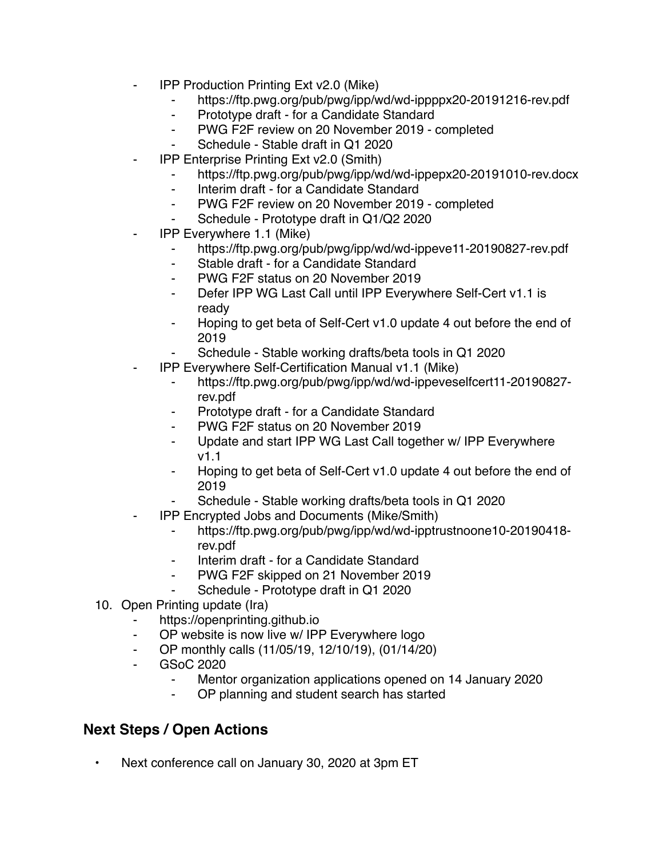- **IPP Production Printing Ext v2.0 (Mike)** 
	- ⁃ https://ftp.pwg.org/pub/pwg/ipp/wd/wd-ippppx20-20191216-rev.pdf
	- Prototype draft for a Candidate Standard
	- ⁃ PWG F2F review on 20 November 2019 completed
	- Schedule Stable draft in Q1 2020
- **IPP Enterprise Printing Ext v2.0 (Smith)** 
	- https://ftp.pwg.org/pub/pwg/ipp/wd/wd-ippepx20-20191010-rev.docx
		- Interim draft for a Candidate Standard
		- ⁃ PWG F2F review on 20 November 2019 completed
		- Schedule Prototype draft in Q1/Q2 2020
- ⁃ IPP Everywhere 1.1 (Mike)
	- ⁃ https://ftp.pwg.org/pub/pwg/ipp/wd/wd-ippeve11-20190827-rev.pdf
	- ⁃ Stable draft for a Candidate Standard
	- ⁃ PWG F2F status on 20 November 2019
	- ⁃ Defer IPP WG Last Call until IPP Everywhere Self-Cert v1.1 is ready
	- Hoping to get beta of Self-Cert v1.0 update 4 out before the end of 2019
	- Schedule Stable working drafts/beta tools in Q1 2020
- ⁃ IPP Everywhere Self-Certification Manual v1.1 (Mike)
	- ⁃ https://ftp.pwg.org/pub/pwg/ipp/wd/wd-ippeveselfcert11-20190827 rev.pdf
	- Prototype draft for a Candidate Standard
	- ⁃ PWG F2F status on 20 November 2019
	- ⁃ Update and start IPP WG Last Call together w/ IPP Everywhere v1.1
	- ⁃ Hoping to get beta of Self-Cert v1.0 update 4 out before the end of 2019
	- Schedule Stable working drafts/beta tools in Q1 2020
	- ⁃ IPP Encrypted Jobs and Documents (Mike/Smith)
		- ⁃ https://ftp.pwg.org/pub/pwg/ipp/wd/wd-ipptrustnoone10-20190418 rev.pdf
		- Interim draft for a Candidate Standard
		- PWG F2F skipped on 21 November 2019
			- Schedule Prototype draft in Q1 2020
- 10. Open Printing update (Ira)
	- https://openprinting.github.io
	- ⁃ OP website is now live w/ IPP Everywhere logo
	- OP monthly calls (11/05/19, 12/10/19), (01/14/20)
	- ⁃ GSoC 2020
		- Mentor organization applications opened on 14 January 2020
		- ⁃ OP planning and student search has started

## **Next Steps / Open Actions**

• Next conference call on January 30, 2020 at 3pm ET